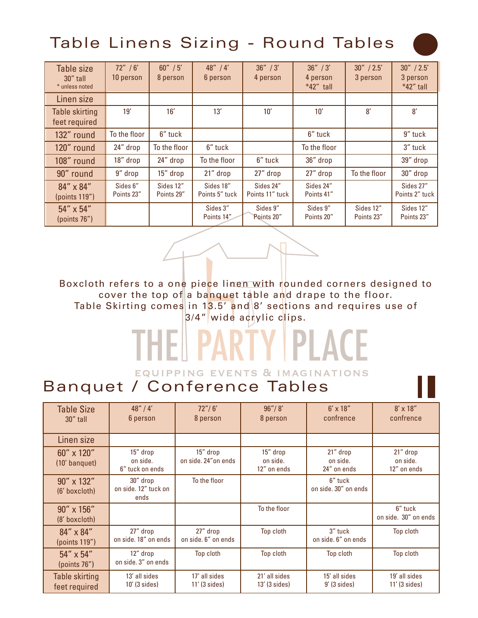## Table Linens Sizing - Round Tables

| Table size<br>30" tall<br>* unless noted | 72'' / 6'<br>10 person | 60'' / 5'<br>8 person   | 48'' / 4'<br>6 person       | 36'' / 3'<br>4 person        | 36'' / 3'<br>4 person<br>$*42"$ tall | 30'' / 2.5'<br>3 person | 30'' / 2.5'<br>3 person<br>*42" tall |
|------------------------------------------|------------------------|-------------------------|-----------------------------|------------------------------|--------------------------------------|-------------------------|--------------------------------------|
| Linen size                               |                        |                         |                             |                              |                                      |                         |                                      |
| <b>Table skirting</b><br>feet required   | 19'                    | 16'                     | 13'                         | 10'                          | 10'                                  | 8'                      | 8'                                   |
| 132" round                               | To the floor           | 6" tuck                 |                             |                              | 6" tuck                              |                         | 9" tuck                              |
| 120" round                               | 24" drop               | To the floor            | 6" tuck                     |                              | To the floor                         |                         | 3" tuck                              |
| 108" round                               | 18" drop               | 24" drop                | To the floor                | 6" tuck                      | 36" drop                             |                         | 39" drop                             |
| 90" round                                | 9" drop                | 15" drop                | 21" drop                    | 27" drop                     | 27" drop                             | To the floor            | 30" drop                             |
| 84" x 84"<br>(points 119")               | Sides 6"<br>Points 23" | Sides 12"<br>Points 29" | Sides 18"<br>Points 5" tuck | Sides 24"<br>Points 11" tuck | Sides 24"<br>Points 41"              |                         | Sides 27"<br>Points 2" tuck          |
| 54" x 54"<br>(points 76")                |                        |                         | Sides 3"<br>Points 14"      | Sides 9"<br>Points 20"       | Sides 9"<br>Points 20"               | Sides 12"<br>Points 23" | Sides 12"<br>Points 23"              |

Boxcloth refers to a one piece linen with rounded corners designed to cover the top of a banquet table and drape to the floor. Table Skirting comes in 13.5' and  $8'$  sections and requires use of 3/4" wide acrylic clips.

#### PART Y I PLACE тин EQUIPPING EVENTS & IMAGINATIONS

#### Banquet / Conference Tables

| <b>Table Size</b><br>30" tall          | 48''/4'<br>6 person                      | 72''/6'<br>8 person              | 96''/ 8'<br>8 person                | $6' \times 18''$<br>confrence       | $8' \times 18''$<br>confrence       |
|----------------------------------------|------------------------------------------|----------------------------------|-------------------------------------|-------------------------------------|-------------------------------------|
| Linen size                             |                                          |                                  |                                     |                                     |                                     |
| 60" x 120"<br>(10' banquet)            | 15" drop<br>on side.<br>6" tuck on ends  | 15" drop<br>on side, 24" on ends | 15" drop<br>on side.<br>12" on ends | 21" drop<br>on side.<br>24" on ends | 21" drop<br>on side.<br>12" on ends |
| 90" x 132"<br>(6' boxcloth)            | 30" drop<br>on side. 12" tuck on<br>ends | To the floor                     |                                     | 6" tuck<br>on side, 30" on ends     |                                     |
| 90" x 156"<br>(8' boxcloth)            |                                          |                                  | To the floor                        |                                     | 6" tuck<br>on side. 30" on ends     |
| 84" x 84"<br>(points 119")             | 27" drop<br>on side, 18" on ends         | 27" drop<br>on side, 6" on ends  | Top cloth                           | 3" tuck<br>on side, 6" on ends      | Top cloth                           |
| 54" x 54"<br>(points 76")              | 12" drop<br>on side, 3" on ends          | Top cloth                        | Top cloth                           | Top cloth                           | Top cloth                           |
| <b>Table skirting</b><br>feet required | 13' all sides<br>$10'$ (3 sides)         | 17' all sides<br>$11'$ (3 sides) | 21' all sides<br>$13'$ (3 sides)    | 15' all sides<br>$9'$ (3 sides)     | 19' all sides<br>$11'$ (3 sides)    |